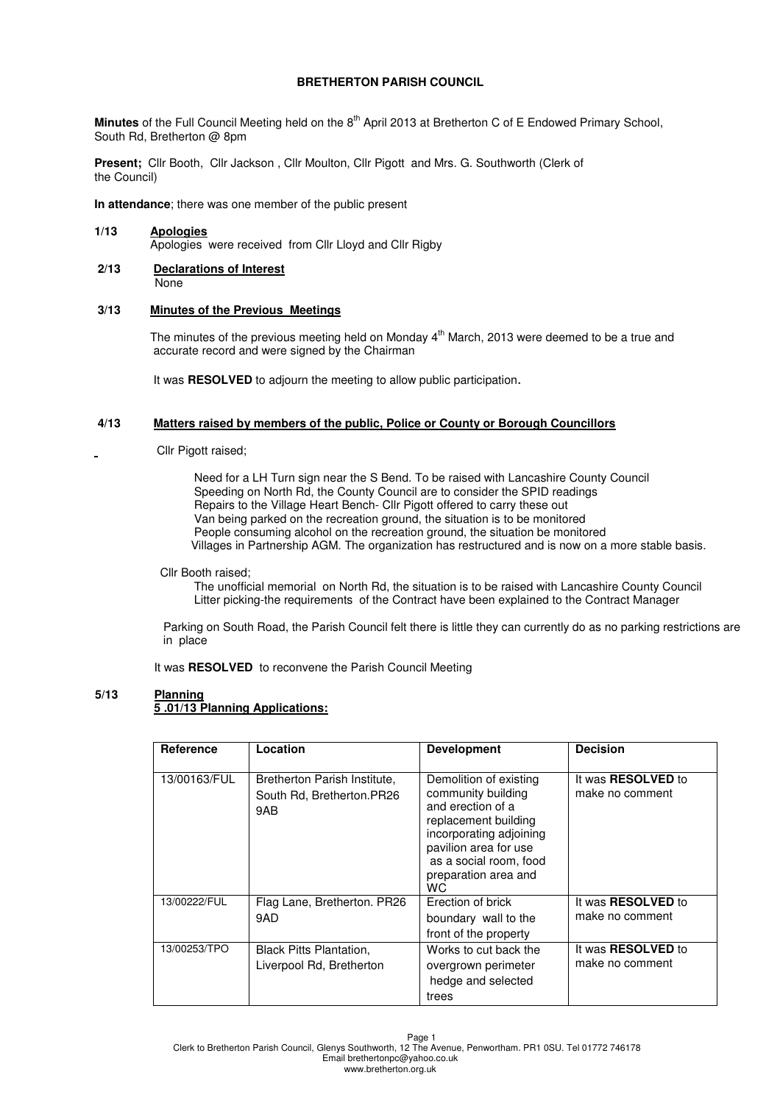# **BRETHERTON PARISH COUNCIL**

Minutes of the Full Council Meeting held on the 8<sup>th</sup> April 2013 at Bretherton C of E Endowed Primary School, South Rd, Bretherton @ 8pm

**Present;** Cllr Booth, Cllr Jackson , Cllr Moulton, Cllr Pigott and Mrs. G. Southworth (Clerk of the Council)

**In attendance**; there was one member of the public present

- **1/13 Apologies** Apologies were received from Cllr Lloyd and Cllr Rigby
- **2/13 Declarations of Interest None**

# **3/13 Minutes of the Previous Meetings**

The minutes of the previous meeting held on Monday  $4<sup>th</sup>$  March, 2013 were deemed to be a true and accurate record and were signed by the Chairman

It was **RESOLVED** to adjourn the meeting to allow public participation.

# **4/13 Matters raised by members of the public, Police or County or Borough Councillors**

Cllr Pigott raised;

 Need for a LH Turn sign near the S Bend. To be raised with Lancashire County Council Speeding on North Rd, the County Council are to consider the SPID readings Repairs to the Village Heart Bench- Cllr Pigott offered to carry these out Van being parked on the recreation ground, the situation is to be monitored People consuming alcohol on the recreation ground, the situation be monitored Villages in Partnership AGM. The organization has restructured and is now on a more stable basis.

Cllr Booth raised;

 The unofficial memorial on North Rd, the situation is to be raised with Lancashire County Council Litter picking-the requirements of the Contract have been explained to the Contract Manager

 Parking on South Road, the Parish Council felt there is little they can currently do as no parking restrictions are in place

It was **RESOLVED** to reconvene the Parish Council Meeting

## **5/13 Planning 5 .01/13 Planning Applications:**

| Reference    | Location                                                         | <b>Development</b>                                                                                                                                                                                     | <b>Decision</b>                              |  |
|--------------|------------------------------------------------------------------|--------------------------------------------------------------------------------------------------------------------------------------------------------------------------------------------------------|----------------------------------------------|--|
|              |                                                                  |                                                                                                                                                                                                        |                                              |  |
| 13/00163/FUL | Bretherton Parish Institute,<br>South Rd, Bretherton.PR26<br>9AB | Demolition of existing<br>community building<br>and erection of a<br>replacement building<br>incorporating adjoining<br>pavilion area for use<br>as a social room, food<br>preparation area and<br>WC. | It was <b>RESOLVED</b> to<br>make no comment |  |
| 13/00222/FUL | Flag Lane, Bretherton, PR26                                      | Erection of brick                                                                                                                                                                                      | It was <b>RESOLVED</b> to                    |  |
|              | 9AD                                                              | boundary wall to the                                                                                                                                                                                   | make no comment                              |  |
|              |                                                                  | front of the property                                                                                                                                                                                  |                                              |  |
| 13/00253/TPO | <b>Black Pitts Plantation,</b><br>Liverpool Rd, Bretherton       | Works to cut back the<br>overgrown perimeter<br>hedge and selected<br>trees                                                                                                                            | It was <b>RESOLVED</b> to<br>make no comment |  |